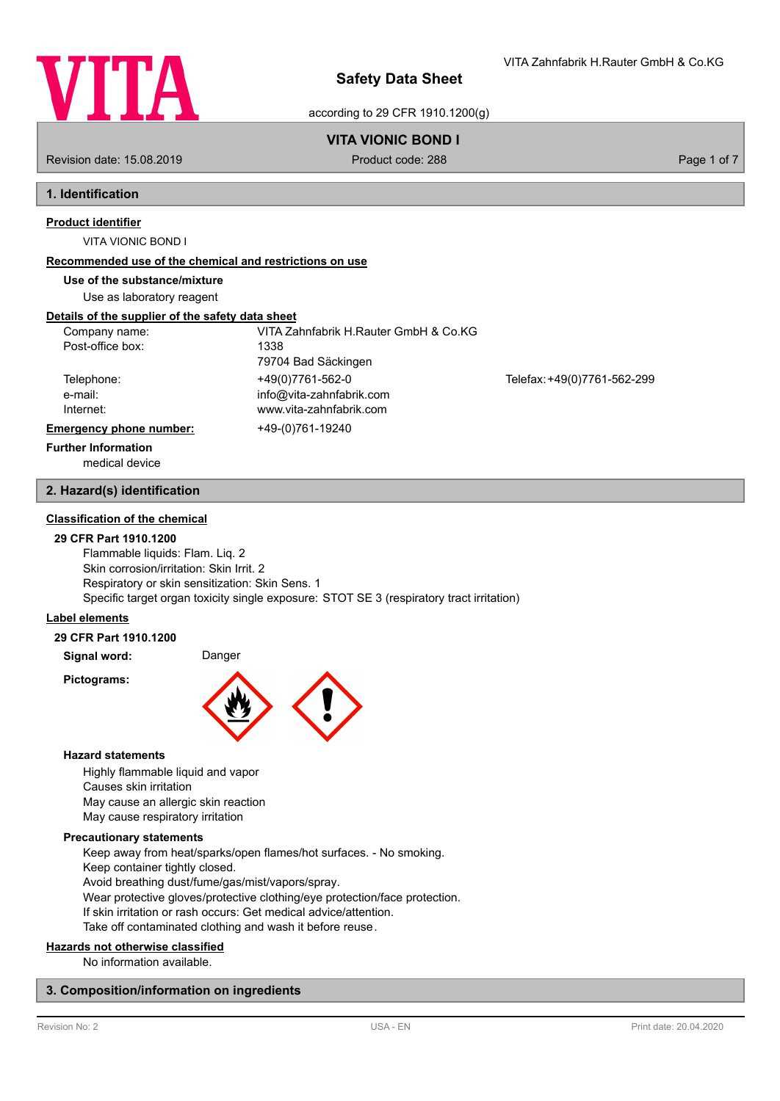

VITA Zahnfabrik H.Rauter GmbH & Co.KG

according to 29 CFR 1910.1200(g)

# **VITA VIONIC BOND I**

Revision date: 15.08.2019 **Product code: 288** Page 1 of 7

# **1. Identification**

# **Product identifier**

VITA VIONIC BOND I

## **Recommended use of the chemical and restrictions on use**

**Use of the substance/mixture**

Use as laboratory reagent

# **Details of the supplier of the safety data sheet**

| Company name:<br>Post-office box:  | VITA Zahnfabrik H.Rauter GmbH & Co.KG<br>1338                           |                             |
|------------------------------------|-------------------------------------------------------------------------|-----------------------------|
|                                    | 79704 Bad Säckingen                                                     |                             |
| Telephone:<br>e-mail:<br>Internet: | +49(0)7761-562-0<br>info@vita-zahnfabrik.com<br>www.vita-zahnfabrik.com | Telefax: +49(0)7761-562-299 |
| <b>Emergency phone number:</b>     | +49-(0)761-19240                                                        |                             |
| <b>Further Information</b>         |                                                                         |                             |

medical device

# **2. Hazard(s) identification**

# **Classification of the chemical**

## **29 CFR Part 1910.1200**

Flammable liquids: Flam. Liq. 2 Skin corrosion/irritation: Skin Irrit. 2 Respiratory or skin sensitization: Skin Sens. 1 Specific target organ toxicity single exposure: STOT SE 3 (respiratory tract irritation)

# **Label elements**

# **29 CFR Part 1910.1200**

**Signal word:** Danger

**Pictograms:**



## **Hazard statements**

Highly flammable liquid and vapor Causes skin irritation May cause an allergic skin reaction May cause respiratory irritation

## **Precautionary statements**

Keep away from heat/sparks/open flames/hot surfaces. - No smoking. Keep container tightly closed. Avoid breathing dust/fume/gas/mist/vapors/spray. Wear protective gloves/protective clothing/eye protection/face protection. If skin irritation or rash occurs: Get medical advice/attention. Take off contaminated clothing and wash it before reuse.

## **Hazards not otherwise classified**

No information available.

# **3. Composition/information on ingredients**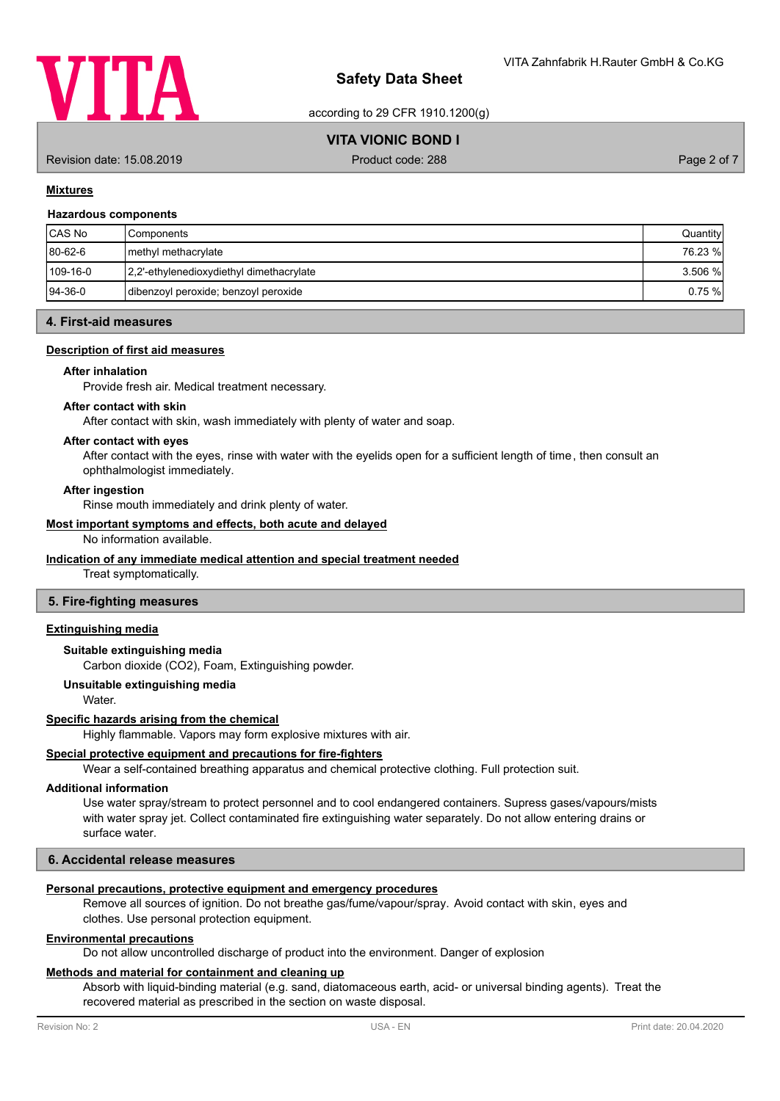

according to 29 CFR 1910.1200(g)

# **VITA VIONIC BOND I**

Revision date: 15.08.2019 **Product code: 288** Page 2 of 7

## **Mixtures**

#### **Hazardous components**

| <b>CAS No</b> | l Components                             | Quantity  |
|---------------|------------------------------------------|-----------|
| $ 80-62-6 $   | I methyl methacrylate                    | 76.23 %   |
| 109-16-0      | 2,2'-ethylenedioxydiethyl dimethacrylate | $3.506$ % |
| $ 94-36-0 $   | dibenzoyl peroxide; benzoyl peroxide     | 0.75%     |

## **4. First-aid measures**

# **Description of first aid measures**

#### **After inhalation**

Provide fresh air. Medical treatment necessary.

#### **After contact with skin**

After contact with skin, wash immediately with plenty of water and soap.

#### **After contact with eyes**

After contact with the eyes, rinse with water with the eyelids open for a sufficient length of time, then consult an ophthalmologist immediately.

#### **After ingestion**

Rinse mouth immediately and drink plenty of water.

#### **Most important symptoms and effects, both acute and delayed**

No information available.

## **Indication of any immediate medical attention and special treatment needed**

Treat symptomatically.

## **5. Fire-fighting measures**

# **Extinguishing media**

# **Suitable extinguishing media**

Carbon dioxide (CO2), Foam, Extinguishing powder.

#### **Unsuitable extinguishing media**

Water.

#### **Specific hazards arising from the chemical**

Highly flammable. Vapors may form explosive mixtures with air.

# **Special protective equipment and precautions for fire-fighters**

Wear a self-contained breathing apparatus and chemical protective clothing. Full protection suit.

# **Additional information**

Use water spray/stream to protect personnel and to cool endangered containers. Supress gases/vapours/mists with water spray jet. Collect contaminated fire extinguishing water separately. Do not allow entering drains or surface water.

# **6. Accidental release measures**

# **Personal precautions, protective equipment and emergency procedures**

Remove all sources of ignition. Do not breathe gas/fume/vapour/spray. Avoid contact with skin, eyes and clothes. Use personal protection equipment.

#### **Environmental precautions**

Do not allow uncontrolled discharge of product into the environment. Danger of explosion

## **Methods and material for containment and cleaning up**

Absorb with liquid-binding material (e.g. sand, diatomaceous earth, acid- or universal binding agents). Treat the recovered material as prescribed in the section on waste disposal.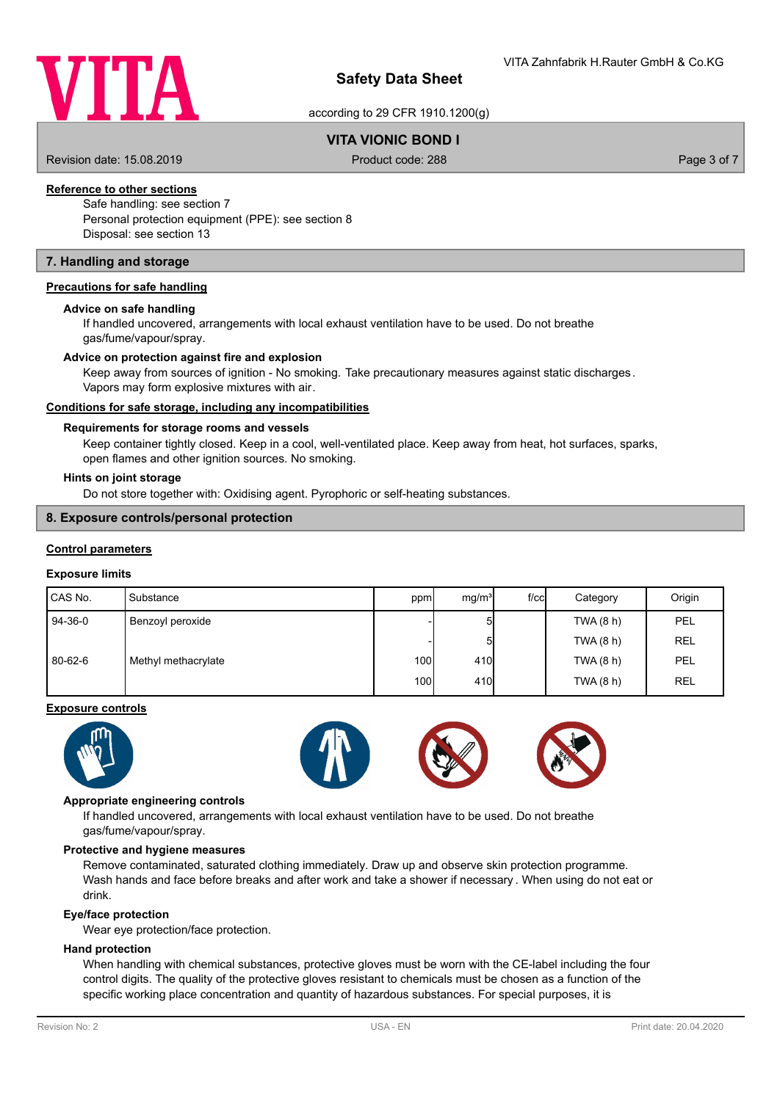

according to 29 CFR 1910.1200(g)

# **VITA VIONIC BOND I**

Revision date: 15.08.2019 **Product code: 288** Page 3 of 7

# **Reference to other sections**

Safe handling: see section 7 Personal protection equipment (PPE): see section 8 Disposal: see section 13

# **7. Handling and storage**

## **Precautions for safe handling**

#### **Advice on safe handling**

If handled uncovered, arrangements with local exhaust ventilation have to be used. Do not breathe gas/fume/vapour/spray.

#### **Advice on protection against fire and explosion**

Keep away from sources of ignition - No smoking. Take precautionary measures against static discharges. Vapors may form explosive mixtures with air.

## **Conditions for safe storage, including any incompatibilities**

#### **Requirements for storage rooms and vessels**

Keep container tightly closed. Keep in a cool, well-ventilated place. Keep away from heat, hot surfaces, sparks, open flames and other ignition sources. No smoking.

#### **Hints on joint storage**

Do not store together with: Oxidising agent. Pyrophoric or self-heating substances.

#### **8. Exposure controls/personal protection**

#### **Control parameters**

#### **Exposure limits**

| CAS No. | Substance           | ppm  | mg/m <sup>3</sup> | $f$ / $c$ c | Category  | Origin     |
|---------|---------------------|------|-------------------|-------------|-----------|------------|
| 94-36-0 | Benzoyl peroxide    |      | 51                |             | TWA(8 h)  | PEL        |
|         |                     |      | 5 <sub>l</sub>    |             | TWA(8 h)  | <b>REL</b> |
| 80-62-6 | Methyl methacrylate | 100I | 410               |             | TWA(8 h)  | <b>PEL</b> |
|         |                     | 100I | 410               |             | TWA (8 h) | <b>REL</b> |

#### **Exposure controls**







#### **Appropriate engineering controls**

If handled uncovered, arrangements with local exhaust ventilation have to be used. Do not breathe gas/fume/vapour/spray.

#### **Protective and hygiene measures**

Remove contaminated, saturated clothing immediately. Draw up and observe skin protection programme. Wash hands and face before breaks and after work and take a shower if necessary . When using do not eat or drink.

#### **Eye/face protection**

Wear eye protection/face protection.

#### **Hand protection**

When handling with chemical substances, protective gloves must be worn with the CE-label including the four control digits. The quality of the protective gloves resistant to chemicals must be chosen as a function of the specific working place concentration and quantity of hazardous substances. For special purposes, it is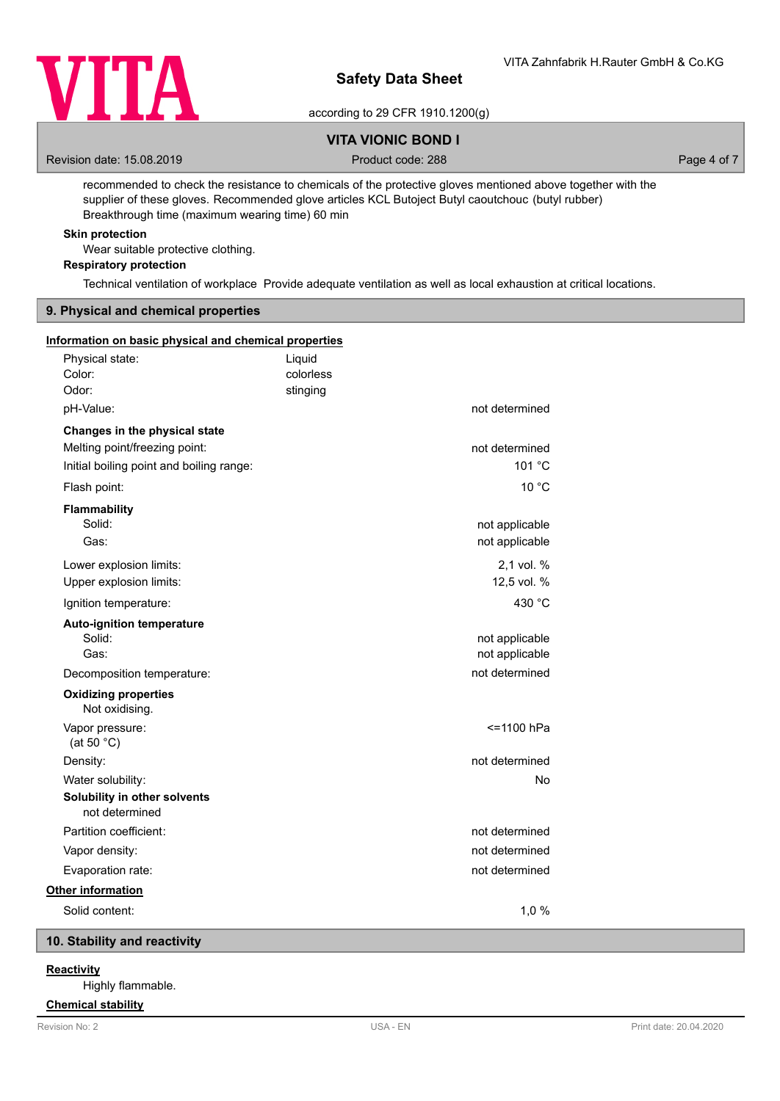

according to 29 CFR 1910.1200(g)

# **VITA VIONIC BOND I**

Revision date: 15.08.2019 **Product code: 288** Product code: 288 Page 4 of 7

recommended to check the resistance to chemicals of the protective gloves mentioned above together with the supplier of these gloves. Recommended glove articles KCL Butoject Butyl caoutchouc (butyl rubber) Breakthrough time (maximum wearing time) 60 min

# **Skin protection**

Wear suitable protective clothing.

**Respiratory protection**

Technical ventilation of workplace Provide adequate ventilation as well as local exhaustion at critical locations.

# **9. Physical and chemical properties**

| Information on basic physical and chemical properties                                                      |                     |                                  |  |
|------------------------------------------------------------------------------------------------------------|---------------------|----------------------------------|--|
| Physical state:<br>Color:                                                                                  | Liquid<br>colorless |                                  |  |
| Odor:                                                                                                      | stinging            |                                  |  |
| pH-Value:                                                                                                  |                     | not determined                   |  |
| Changes in the physical state<br>Melting point/freezing point:<br>Initial boiling point and boiling range: |                     | not determined<br>101 °C         |  |
| Flash point:                                                                                               |                     | 10 °C                            |  |
| Flammability<br>Solid:<br>Gas:                                                                             |                     | not applicable<br>not applicable |  |
| Lower explosion limits:<br>Upper explosion limits:                                                         |                     | 2,1 vol. %<br>12,5 vol. %        |  |
| Ignition temperature:                                                                                      |                     | 430 °C                           |  |
| <b>Auto-ignition temperature</b><br>Solid:<br>Gas:                                                         |                     | not applicable<br>not applicable |  |
| Decomposition temperature:                                                                                 |                     | not determined                   |  |
| <b>Oxidizing properties</b><br>Not oxidising.                                                              |                     |                                  |  |
| Vapor pressure:<br>(at 50 $^{\circ}$ C)                                                                    |                     | <=1100 hPa                       |  |
| Density:                                                                                                   |                     | not determined                   |  |
| Water solubility:                                                                                          |                     | No                               |  |
| Solubility in other solvents<br>not determined                                                             |                     |                                  |  |
| Partition coefficient:                                                                                     |                     | not determined                   |  |
| Vapor density:                                                                                             |                     | not determined                   |  |
| Evaporation rate:                                                                                          |                     | not determined                   |  |
| Other information                                                                                          |                     |                                  |  |
| Solid content:                                                                                             |                     | 1,0%                             |  |
|                                                                                                            |                     |                                  |  |

# **10. Stability and reactivity**

# **Reactivity**

Highly flammable.

# **Chemical stability**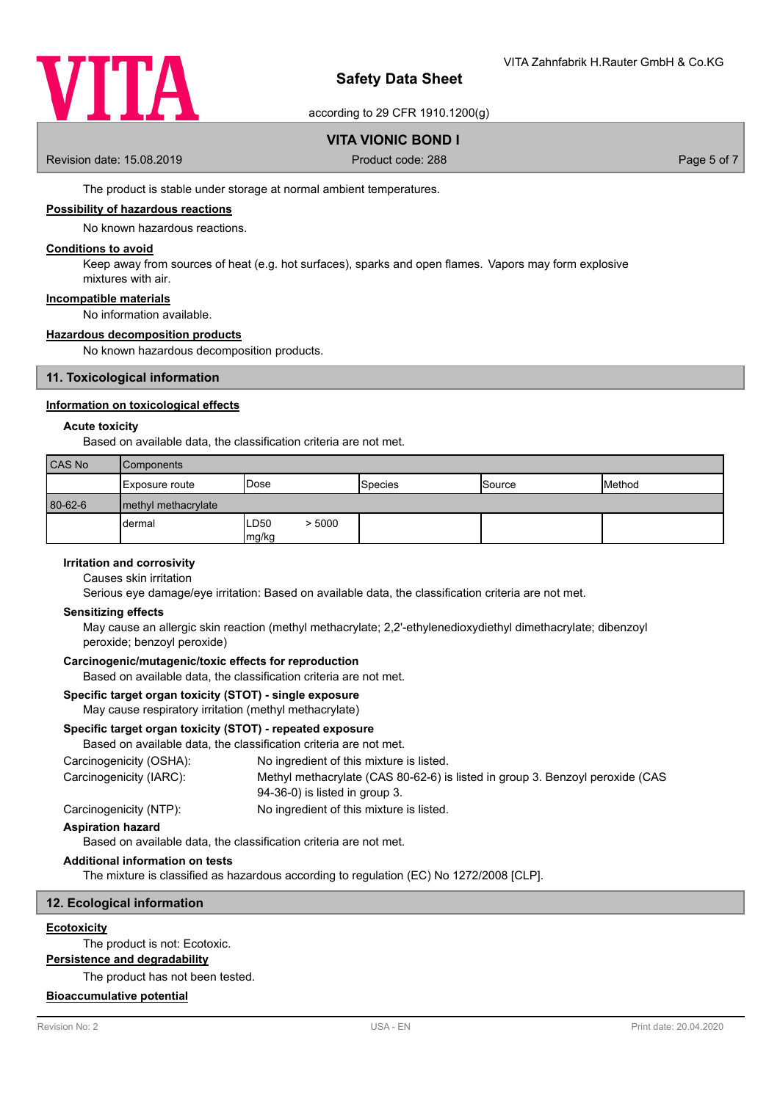

according to 29 CFR 1910.1200(g)

# **VITA VIONIC BOND I**

Revision date: 15.08.2019 **Product code: 288** Page 5 of 7

The product is stable under storage at normal ambient temperatures.

#### **Possibility of hazardous reactions**

No known hazardous reactions.

## **Conditions to avoid**

Keep away from sources of heat (e.g. hot surfaces), sparks and open flames. Vapors may form explosive mixtures with air.

#### **Incompatible materials**

No information available.

## **Hazardous decomposition products**

No known hazardous decomposition products.

## **11. Toxicological information**

## **Information on toxicological effects**

#### **Acute toxicity**

Based on available data, the classification criteria are not met.

| CAS No  | <b>Components</b>     |                                     |                |               |        |
|---------|-----------------------|-------------------------------------|----------------|---------------|--------|
|         | Exposure route        | <b>I</b> Dose                       | <b>Species</b> | <b>Source</b> | Method |
| 80-62-6 | I methyl methacrylate |                                     |                |               |        |
|         | dermal                | LD <sub>50</sub><br>> 5000<br>mg/kg |                |               |        |

# **Irritation and corrosivity**

Causes skin irritation

Serious eye damage/eye irritation: Based on available data, the classification criteria are not met.

#### **Sensitizing effects**

May cause an allergic skin reaction (methyl methacrylate; 2,2'-ethylenedioxydiethyl dimethacrylate; dibenzoyl peroxide; benzoyl peroxide)

# **Carcinogenic/mutagenic/toxic effects for reproduction**

Based on available data, the classification criteria are not met.

# **Specific target organ toxicity (STOT) - single exposure**

# May cause respiratory irritation (methyl methacrylate)

# **Specific target organ toxicity (STOT) - repeated exposure**

Based on available data, the classification criteria are not met.

| Carcinogenicity (OSHA): | No ingredient of this mixture is listed.                                                                        |
|-------------------------|-----------------------------------------------------------------------------------------------------------------|
| Carcinogenicity (IARC): | Methyl methacrylate (CAS 80-62-6) is listed in group 3. Benzoyl peroxide (CAS<br>94-36-0) is listed in group 3. |
| Carcinogenicity (NTP):  | No ingredient of this mixture is listed.                                                                        |

# **Aspiration hazard**

Based on available data, the classification criteria are not met.

# **Additional information on tests**

The mixture is classified as hazardous according to regulation (EC) No 1272/2008 [CLP].

## **12. Ecological information**

#### **Ecotoxicity**

The product is not: Ecotoxic.

**Persistence and degradability**

The product has not been tested.

#### **Bioaccumulative potential**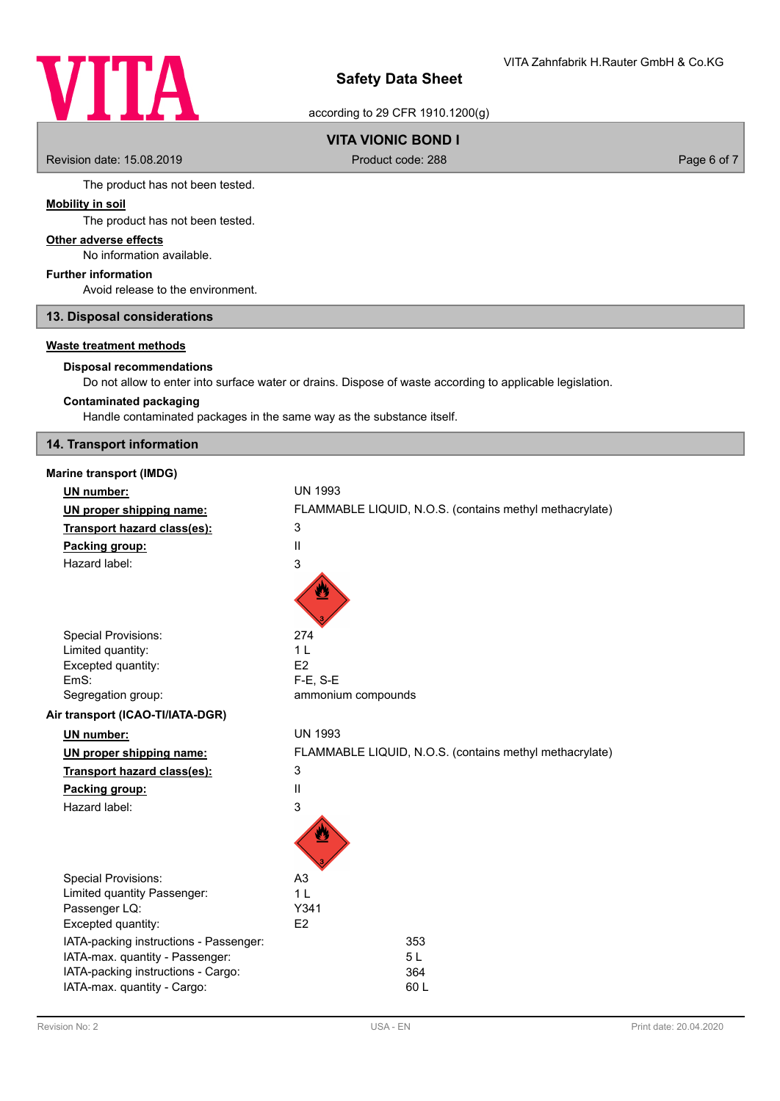# **VITA**

# **Safety Data Sheet**

according to 29 CFR 1910.1200(g)

# **VITA VIONIC BOND I**

Revision date: 15.08.2019 **Product code: 288** Product code: 288 Page 6 of 7

The product has not been tested.

# **Mobility in soil**

# The product has not been tested.

**Other adverse effects**

No information available.

# **Further information**

Avoid release to the environment.

**13. Disposal considerations**

# **Waste treatment methods**

#### **Disposal recommendations**

Do not allow to enter into surface water or drains. Dispose of waste according to applicable legislation.

# **Contaminated packaging**

Handle contaminated packages in the same way as the substance itself.

# **14. Transport information**

| <b>Marine transport (IMDG)</b>         |                                                         |
|----------------------------------------|---------------------------------------------------------|
| <b>UN number:</b>                      | <b>UN 1993</b>                                          |
| UN proper shipping name:               | FLAMMABLE LIQUID, N.O.S. (contains methyl methacrylate) |
| Transport hazard class(es):            | 3                                                       |
| Packing group:                         | $\mathsf{II}%$                                          |
| Hazard label:                          | 3                                                       |
|                                        |                                                         |
|                                        |                                                         |
| <b>Special Provisions:</b>             | 274                                                     |
| Limited quantity:                      | 1 <sub>L</sub>                                          |
| Excepted quantity:                     | E2                                                      |
| EmS:                                   | $F-E$ , S-E                                             |
| Segregation group:                     | ammonium compounds                                      |
| Air transport (ICAO-TI/IATA-DGR)       |                                                         |
| UN number:                             | <b>UN 1993</b>                                          |
| UN proper shipping name:               | FLAMMABLE LIQUID, N.O.S. (contains methyl methacrylate) |
| Transport hazard class(es):            | 3                                                       |
| Packing group:                         | Ш                                                       |
| Hazard label:                          | 3                                                       |
|                                        |                                                         |
| <b>Special Provisions:</b>             | A <sub>3</sub>                                          |
| Limited quantity Passenger:            | 1 <sub>L</sub>                                          |
| Passenger LQ:                          | Y341                                                    |
| Excepted quantity:                     | E2                                                      |
| IATA-packing instructions - Passenger: | 353                                                     |
| IATA-max. quantity - Passenger:        | 5L                                                      |
| IATA-packing instructions - Cargo:     | 364                                                     |
| IATA-max. quantity - Cargo:            | 60 L                                                    |